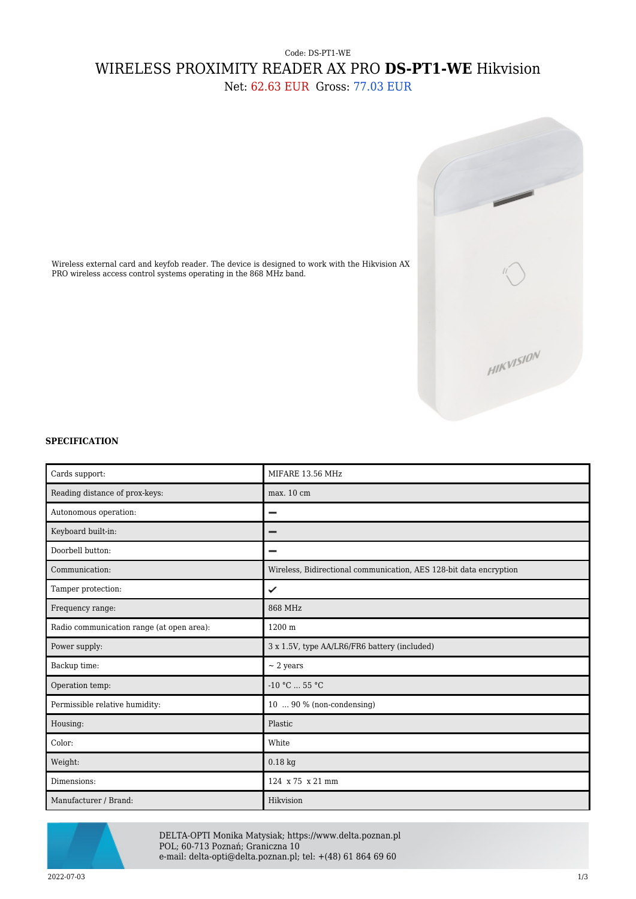## Code: DS-PT1-WE WIRELESS PROXIMITY READER AX PRO **DS-PT1-WE** Hikvision

Net: 62.63 EUR Gross: 77.03 EUR



Wireless external card and keyfob reader. The device is designed to work with the Hikvision AX PRO wireless access control systems operating in the 868 MHz band.

## **SPECIFICATION**

| Cards support:                            | MIFARE 13.56 MHz                                                   |  |  |
|-------------------------------------------|--------------------------------------------------------------------|--|--|
|                                           |                                                                    |  |  |
| Reading distance of prox-keys:            | max. 10 cm                                                         |  |  |
| Autonomous operation:                     |                                                                    |  |  |
| Keyboard built-in:                        |                                                                    |  |  |
| Doorbell button:                          |                                                                    |  |  |
| Communication:                            | Wireless, Bidirectional communication, AES 128-bit data encryption |  |  |
| Tamper protection:                        | ✓                                                                  |  |  |
| Frequency range:                          | 868 MHz                                                            |  |  |
| Radio communication range (at open area): | 1200 m                                                             |  |  |
| Power supply:                             | 3 x 1.5V, type AA/LR6/FR6 battery (included)                       |  |  |
| Backup time:                              | $\sim$ 2 years                                                     |  |  |
| Operation temp:                           | $-10 °C$ 55 °C                                                     |  |  |
| Permissible relative humidity:            | $10 \ldots 90 \%$ (non-condensing)                                 |  |  |
| Housing:                                  | Plastic                                                            |  |  |
| Color:                                    | White                                                              |  |  |
| Weight:                                   | $0.18$ kg                                                          |  |  |
| Dimensions:                               | 124 x 75 x 21 mm                                                   |  |  |
| Manufacturer / Brand:                     | Hikvision                                                          |  |  |



DELTA-OPTI Monika Matysiak; https://www.delta.poznan.pl POL; 60-713 Poznań; Graniczna 10 e-mail: delta-opti@delta.poznan.pl; tel: +(48) 61 864 69 60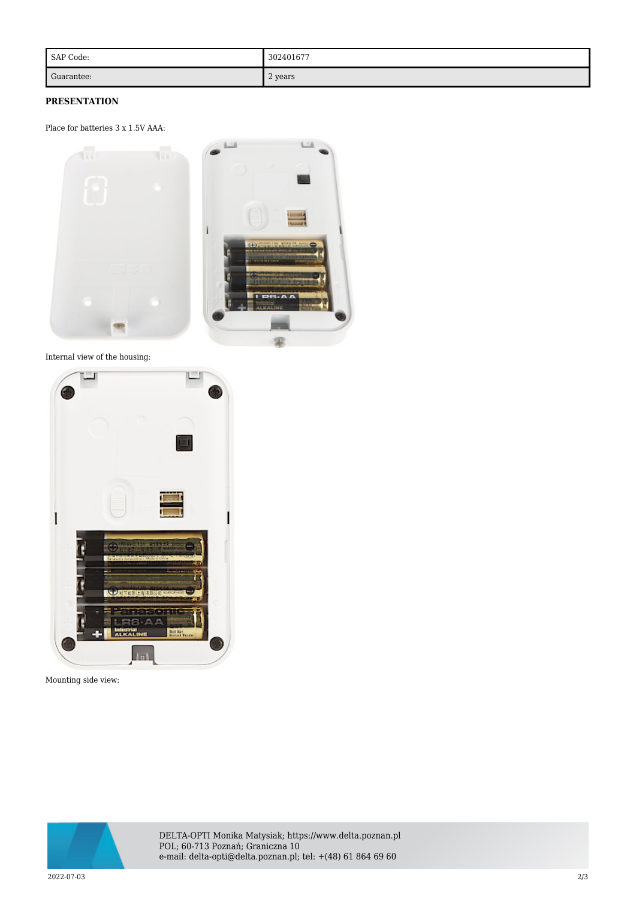| SAP Code:  | 302401677 |
|------------|-----------|
| Guarantee: | 2 years   |

## **PRESENTATION**

Place for batteries 3 x 1.5V AAA:



Internal view of the housing:



Mounting side view:

![](_page_1_Picture_7.jpeg)

DELTA-OPTI Monika Matysiak; https://www.delta.poznan.pl POL; 60-713 Poznań; Graniczna 10 e-mail: delta-opti@delta.poznan.pl; tel: +(48) 61 864 69 60

2022-07-03 2/3